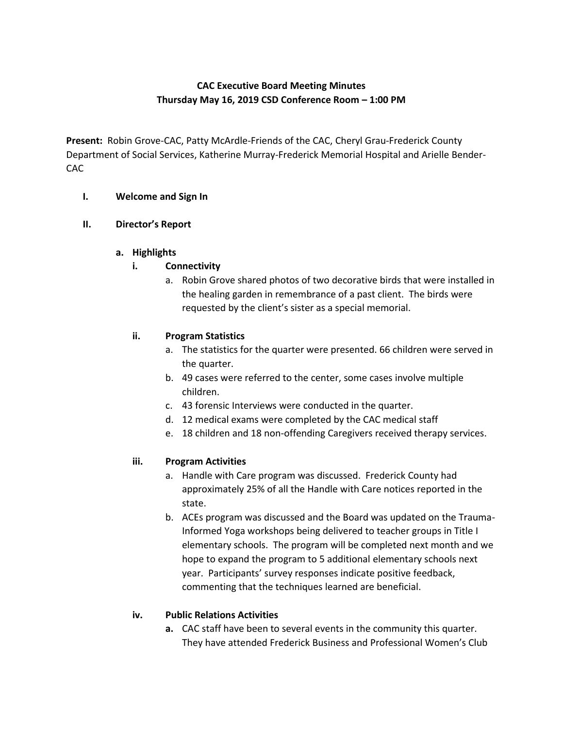# **CAC Executive Board Meeting Minutes Thursday May 16, 2019 CSD Conference Room – 1:00 PM**

**Present:** Robin Grove-CAC, Patty McArdle-Friends of the CAC, Cheryl Grau-Frederick County Department of Social Services, Katherine Murray-Frederick Memorial Hospital and Arielle Bender-CAC

#### **I. Welcome and Sign In**

#### **II. Director's Report**

#### **a. Highlights**

## **i. Connectivity**

a. Robin Grove shared photos of two decorative birds that were installed in the healing garden in remembrance of a past client. The birds were requested by the client's sister as a special memorial.

## **ii. Program Statistics**

- a. The statistics for the quarter were presented. 66 children were served in the quarter.
- b. 49 cases were referred to the center, some cases involve multiple children.
- c. 43 forensic Interviews were conducted in the quarter.
- d. 12 medical exams were completed by the CAC medical staff
- e. 18 children and 18 non-offending Caregivers received therapy services.

## **iii. Program Activities**

- a. Handle with Care program was discussed. Frederick County had approximately 25% of all the Handle with Care notices reported in the state.
- b. ACEs program was discussed and the Board was updated on the Trauma-Informed Yoga workshops being delivered to teacher groups in Title I elementary schools. The program will be completed next month and we hope to expand the program to 5 additional elementary schools next year. Participants' survey responses indicate positive feedback, commenting that the techniques learned are beneficial.

## **iv. Public Relations Activities**

**a.** CAC staff have been to several events in the community this quarter. They have attended Frederick Business and Professional Women's Club